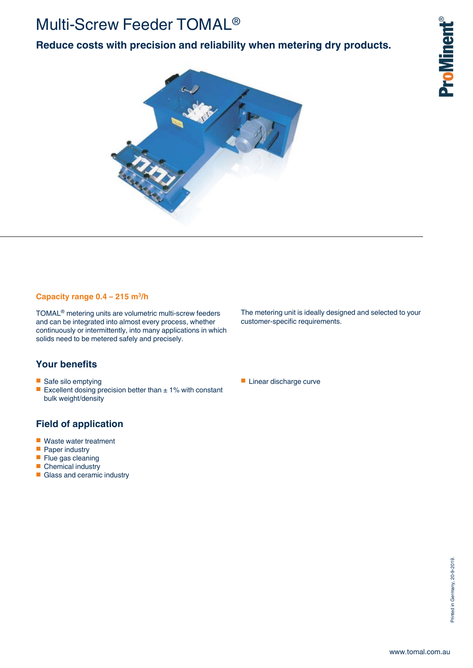## Multi-Screw Feeder TOMAL®

**Reduce costs with precision and reliability when metering dry products.**



#### **Capacity range 0.4 – 215 m<sup>3</sup> /h**

TOMAL® metering units are volumetric multi-screw feeders and can be integrated into almost every process, whether continuously or intermittently, into many applications in which solids need to be metered safely and precisely.

### **Your benefits**

- Safe silo emptying
- Excellent dosing precision better than  $\pm$  1% with constant bulk weight/density

### **Field of application**

- Waste water treatment<br>■ Paper industry
- Paper industry
- Flue gas cleaning
- Chemical industry
- Glass and ceramic industry

The metering unit is ideally designed and selected to your customer-specific requirements.

■ Linear discharge curve